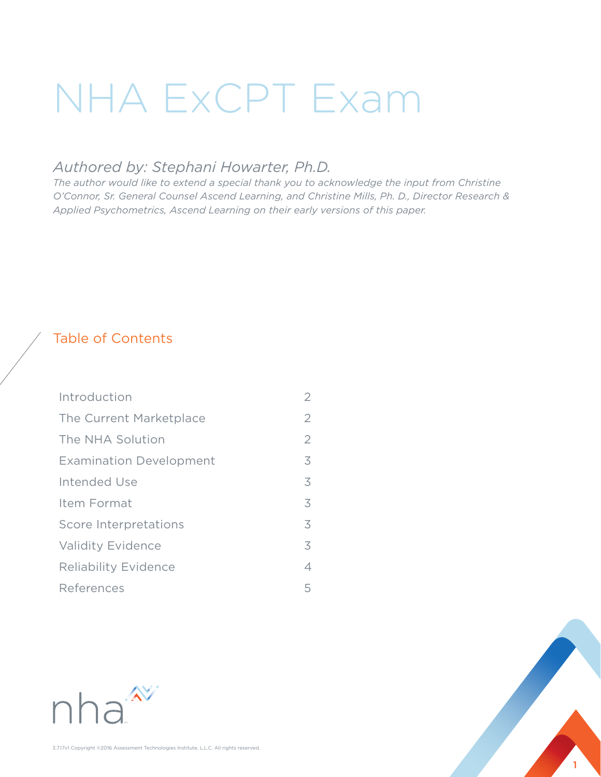# NHA ExCPT Exam

## *Authored by: Stephani Howarter, Ph.D.*

*The author would like to extend a special thank you to acknowledge the input from Christine O'Connor, Sr. General Counsel Ascend Learning, and Christine Mills, Ph. D., Director Research & Applied Psychometrics, Ascend Learning on their early versions of this paper.* 

## Table of Contents

| Introduction                   | 2              |
|--------------------------------|----------------|
| The Current Marketplace        | $\overline{2}$ |
| The NHA Solution               | $\overline{2}$ |
| <b>Examination Development</b> | 3              |
| Intended Use                   | 3              |
| Item Format                    | 3              |
| Score Interpretations          | 3              |
| <b>Validity Evidence</b>       | 3              |
| <b>Reliability Evidence</b>    | 4              |
| References                     | 5              |



1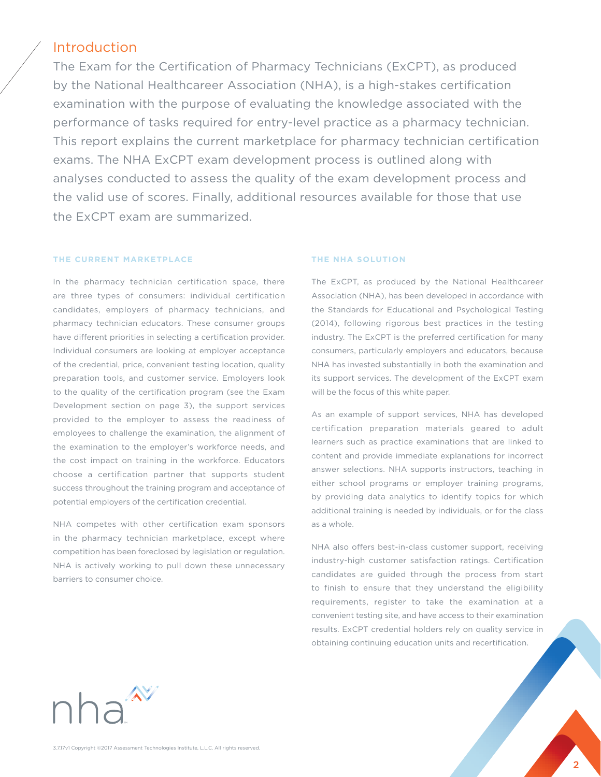### Introduction

The Exam for the Certification of Pharmacy Technicians (ExCPT), as produced by the National Healthcareer Association (NHA), is a high-stakes certification examination with the purpose of evaluating the knowledge associated with the performance of tasks required for entry-level practice as a pharmacy technician. This report explains the current marketplace for pharmacy technician certification exams. The NHA ExCPT exam development process is outlined along with analyses conducted to assess the quality of the exam development process and the valid use of scores. Finally, additional resources available for those that use the ExCPT exam are summarized.

#### **THE CURRENT MARKETPLACE**

In the pharmacy technician certification space, there are three types of consumers: individual certification candidates, employers of pharmacy technicians, and pharmacy technician educators. These consumer groups have different priorities in selecting a certification provider. Individual consumers are looking at employer acceptance of the credential, price, convenient testing location, quality preparation tools, and customer service. Employers look to the quality of the certification program (see the Exam Development section on page 3), the support services provided to the employer to assess the readiness of employees to challenge the examination, the alignment of the examination to the employer's workforce needs, and the cost impact on training in the workforce. Educators choose a certification partner that supports student success throughout the training program and acceptance of potential employers of the certification credential.

NHA competes with other certification exam sponsors in the pharmacy technician marketplace, except where competition has been foreclosed by legislation or regulation. NHA is actively working to pull down these unnecessary barriers to consumer choice.

#### **THE NHA SOLUTION**

The ExCPT, as produced by the National Healthcareer Association (NHA), has been developed in accordance with the Standards for Educational and Psychological Testing (2014), following rigorous best practices in the testing industry. The ExCPT is the preferred certification for many consumers, particularly employers and educators, because NHA has invested substantially in both the examination and its support services. The development of the ExCPT exam will be the focus of this white paper.

As an example of support services, NHA has developed certification preparation materials geared to adult learners such as practice examinations that are linked to content and provide immediate explanations for incorrect answer selections. NHA supports instructors, teaching in either school programs or employer training programs, by providing data analytics to identify topics for which additional training is needed by individuals, or for the class as a whole.

NHA also offers best-in-class customer support, receiving industry-high customer satisfaction ratings. Certification candidates are guided through the process from start to finish to ensure that they understand the eligibility requirements, register to take the examination at a convenient testing site, and have access to their examination results. ExCPT credential holders rely on quality service in obtaining continuing education units and recertification.

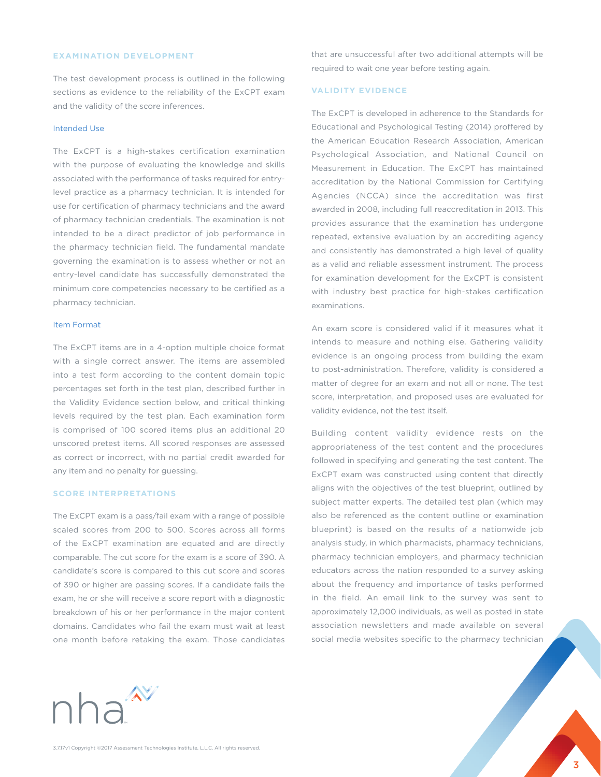#### **EXAMINATION DEVELOPMENT**

The test development process is outlined in the following sections as evidence to the reliability of the ExCPT exam and the validity of the score inferences.

#### Intended Use

The ExCPT is a high-stakes certification examination with the purpose of evaluating the knowledge and skills associated with the performance of tasks required for entrylevel practice as a pharmacy technician. It is intended for use for certification of pharmacy technicians and the award of pharmacy technician credentials. The examination is not intended to be a direct predictor of job performance in the pharmacy technician field. The fundamental mandate governing the examination is to assess whether or not an entry-level candidate has successfully demonstrated the minimum core competencies necessary to be certified as a pharmacy technician.

#### Item Format

The ExCPT items are in a 4-option multiple choice format with a single correct answer. The items are assembled into a test form according to the content domain topic percentages set forth in the test plan, described further in the Validity Evidence section below, and critical thinking levels required by the test plan. Each examination form is comprised of 100 scored items plus an additional 20 unscored pretest items. All scored responses are assessed as correct or incorrect, with no partial credit awarded for any item and no penalty for guessing.

#### **SCORE INTERPRETATIONS**

The ExCPT exam is a pass/fail exam with a range of possible scaled scores from 200 to 500. Scores across all forms of the ExCPT examination are equated and are directly comparable. The cut score for the exam is a score of 390. A candidate's score is compared to this cut score and scores of 390 or higher are passing scores. If a candidate fails the exam, he or she will receive a score report with a diagnostic breakdown of his or her performance in the major content domains. Candidates who fail the exam must wait at least one month before retaking the exam. Those candidates

that are unsuccessful after two additional attempts will be required to wait one year before testing again.

#### **VALIDITY EVIDENCE**

The ExCPT is developed in adherence to the Standards for Educational and Psychological Testing (2014) proffered by the American Education Research Association, American Psychological Association, and National Council on Measurement in Education. The ExCPT has maintained accreditation by the National Commission for Certifying Agencies (NCCA) since the accreditation was first awarded in 2008, including full reaccreditation in 2013. This provides assurance that the examination has undergone repeated, extensive evaluation by an accrediting agency and consistently has demonstrated a high level of quality as a valid and reliable assessment instrument. The process for examination development for the ExCPT is consistent with industry best practice for high-stakes certification examinations.

An exam score is considered valid if it measures what it intends to measure and nothing else. Gathering validity evidence is an ongoing process from building the exam to post-administration. Therefore, validity is considered a matter of degree for an exam and not all or none. The test score, interpretation, and proposed uses are evaluated for validity evidence, not the test itself.

Building content validity evidence rests on the appropriateness of the test content and the procedures followed in specifying and generating the test content. The ExCPT exam was constructed using content that directly aligns with the objectives of the test blueprint, outlined by subject matter experts. The detailed test plan (which may also be referenced as the content outline or examination blueprint) is based on the results of a nationwide job analysis study, in which pharmacists, pharmacy technicians, pharmacy technician employers, and pharmacy technician educators across the nation responded to a survey asking about the frequency and importance of tasks performed in the field. An email link to the survey was sent to approximately 12,000 individuals, as well as posted in state association newsletters and made available on several social media websites specific to the pharmacy technician



3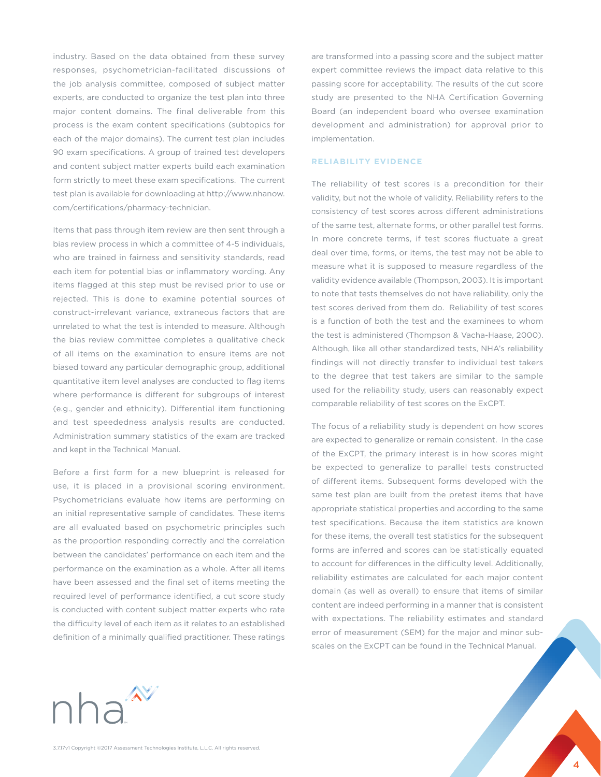industry. Based on the data obtained from these survey responses, psychometrician-facilitated discussions of the job analysis committee, composed of subject matter experts, are conducted to organize the test plan into three major content domains. The final deliverable from this process is the exam content specifications (subtopics for each of the major domains). The current test plan includes 90 exam specifications. A group of trained test developers and content subject matter experts build each examination form strictly to meet these exam specifications. The current test plan is available for downloading at http://www.nhanow. com/certifications/pharmacy-technician.

Items that pass through item review are then sent through a bias review process in which a committee of 4-5 individuals, who are trained in fairness and sensitivity standards, read each item for potential bias or inflammatory wording. Any items flagged at this step must be revised prior to use or rejected. This is done to examine potential sources of construct-irrelevant variance, extraneous factors that are unrelated to what the test is intended to measure. Although the bias review committee completes a qualitative check of all items on the examination to ensure items are not biased toward any particular demographic group, additional quantitative item level analyses are conducted to flag items where performance is different for subgroups of interest (e.g., gender and ethnicity). Differential item functioning and test speededness analysis results are conducted. Administration summary statistics of the exam are tracked and kept in the Technical Manual.

Before a first form for a new blueprint is released for use, it is placed in a provisional scoring environment. Psychometricians evaluate how items are performing on an initial representative sample of candidates. These items are all evaluated based on psychometric principles such as the proportion responding correctly and the correlation between the candidates' performance on each item and the performance on the examination as a whole. After all items have been assessed and the final set of items meeting the required level of performance identified, a cut score study is conducted with content subject matter experts who rate the difficulty level of each item as it relates to an established definition of a minimally qualified practitioner. These ratings

nha<sup>2</sup>

are transformed into a passing score and the subject matter expert committee reviews the impact data relative to this passing score for acceptability. The results of the cut score study are presented to the NHA Certification Governing Board (an independent board who oversee examination development and administration) for approval prior to implementation.

#### **RELIABILITY EVIDENCE**

The reliability of test scores is a precondition for their validity, but not the whole of validity. Reliability refers to the consistency of test scores across different administrations of the same test, alternate forms, or other parallel test forms. In more concrete terms, if test scores fluctuate a great deal over time, forms, or items, the test may not be able to measure what it is supposed to measure regardless of the validity evidence available (Thompson, 2003). It is important to note that tests themselves do not have reliability, only the test scores derived from them do. Reliability of test scores is a function of both the test and the examinees to whom the test is administered (Thompson & Vacha-Haase, 2000). Although, like all other standardized tests, NHA's reliability findings will not directly transfer to individual test takers to the degree that test takers are similar to the sample used for the reliability study, users can reasonably expect comparable reliability of test scores on the ExCPT.

The focus of a reliability study is dependent on how scores are expected to generalize or remain consistent. In the case of the ExCPT, the primary interest is in how scores might be expected to generalize to parallel tests constructed of different items. Subsequent forms developed with the same test plan are built from the pretest items that have appropriate statistical properties and according to the same test specifications. Because the item statistics are known for these items, the overall test statistics for the subsequent forms are inferred and scores can be statistically equated to account for differences in the difficulty level. Additionally, reliability estimates are calculated for each major content domain (as well as overall) to ensure that items of similar content are indeed performing in a manner that is consistent with expectations. The reliability estimates and standard error of measurement (SEM) for the major and minor subscales on the ExCPT can be found in the Technical Manual.